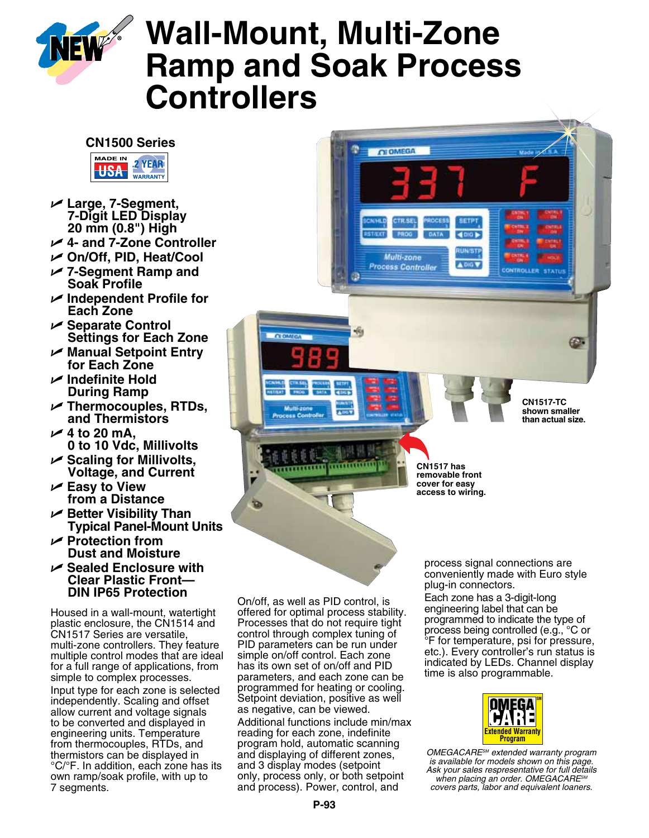

# **Wall-Mount, Multi-Zone Ramp and Soak Process Controllers**

**CLOWEGA** 

Multi-zone

**Process Controlle** 

A DIG V



- U **Large, 7-Segment, 7-Digit LED Display 20 mm (0.8") High**
- U **4- and 7-Zone Controller**
- U **On/Off, PID, Heat/Cool**
- U **7-Segment Ramp and Soak Profile**
- U **Independent Profile for Each Zone**
- U **Separate Control Settings for Each Zone**
- U **Manual Setpoint Entry for Each Zone**
- U **Indefinite Hold During Ramp**
- U **Thermocouples, RTDs, and Thermistors**
- $\angle$  4 to 20 mA. **0 to 10 Vdc, Millivolts**
- U **Scaling for Millivolts, Voltage, and Current**
- U **Easy to View from a Distance**
- U **Better Visibility Than Typical Panel-Mount Units**
- U **Protection from Dust and Moisture**
- U **Sealed Enclosure with Clear Plastic Front— DIN IP65 Protection**

Housed in a wall-mount, watertight plastic enclosure, the CN1514 and CN1517 Series are versatile, multi-zone controllers. They feature multiple control modes that are ideal for a full range of applications, from simple to complex processes.

Input type for each zone is selected independently. Scaling and offset allow current and voltage signals to be converted and displayed in engineering units. Temperature from thermocouples, RTDs, and thermistors can be displayed in °C/°F. In addition, each zone has its own ramp/soak profile, with up to 7 segments.

On/off, as well as PID control, is offered for optimal process stability. Processes that do not require tight control through complex tuning of PID parameters can be run under simple on/off control. Each zone has its own set of on/off and PID parameters, and each zone can be programmed for heating or cooling. Setpoint deviation, positive as well as negative, can be viewed.

लंगांगांग

**CLOBARON** 

Additional functions include min/max reading for each zone, indefinite program hold, automatic scanning and displaying of different zones, and 3 display modes (setpoint only, process only, or both setpoint and process). Power, control, and

process signal connections are conveniently made with Euro style plug-in connectors.

**CN1517 has removable front cover for easy access to wiring.**

**CN1517-TC shown smaller than actual size.**

Œ

Each zone has a 3-digit-long engineering label that can be programmed to indicate the type of process being controlled (e.g., °C or °F for temperature, psi for pressure, etc.). Every controller's run status is indicated by LEDs. Channel display time is also programmable.



*OMEGACARESM extended warranty program is available for models shown on this page. Ask your sales respresentative for full details when placing an order. OMEGACARESM covers parts, labor and equivalent loaners.*